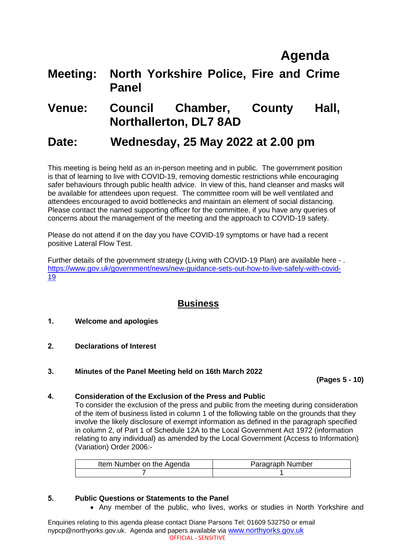# **Agenda**

## **Meeting: North Yorkshire Police, Fire and Crime Panel**

### **Venue: Council Chamber, County Hall, Northallerton, DL7 8AD**

## **Date: Wednesday, 25 May 2022 at 2.00 pm**

This meeting is being held as an in-person meeting and in public. The government position is that of learning to live with COVID-19, removing domestic restrictions while encouraging safer behaviours through public health advice. In view of this, hand cleanser and masks will be available for attendees upon request. The committee room will be well ventilated and attendees encouraged to avoid bottlenecks and maintain an element of social distancing. Please contact the named supporting officer for the committee, if you have any queries of concerns about the management of the meeting and the approach to COVID-19 safety.

Please do not attend if on the day you have COVID-19 symptoms or have had a recent positive Lateral Flow Test.

Further details of the government strategy (Living with COVID-19 Plan) are available here - . [https://www.gov.uk/government/news/new-guidance-sets-out-how-to-live-safely-with-covid-](https://www.gov.uk/government/news/new-guidance-sets-out-how-to-live-safely-with-covid-19)[19](https://www.gov.uk/government/news/new-guidance-sets-out-how-to-live-safely-with-covid-19)

### **Business**

- **1. Welcome and apologies**
- **2. Declarations of Interest**
- **3. Minutes of the Panel Meeting held on 16th March 2022**

#### **(Pages 5 - 10)**

#### **4. Consideration of the Exclusion of the Press and Public**

To consider the exclusion of the press and public from the meeting during consideration of the item of business listed in column 1 of the following table on the grounds that they involve the likely disclosure of exempt information as defined in the paragraph specified in column 2, of Part 1 of Schedule 12A to the Local Government Act 1972 (information relating to any individual) as amended by the Local Government (Access to Information) (Variation) Order 2006:-

| Item Number on the Agenda | Paragraph Number |
|---------------------------|------------------|
|                           |                  |

#### **5. Public Questions or Statements to the Panel**

• Any member of the public, who lives, works or studies in North Yorkshire and

Enquiries relating to this agenda please contact Diane Parsons Tel: 01609 532750 or email nypcp@northyorks.gov.uk. Agenda and papers available via [www.northyorks.gov.uk](http://www.northyorks.gov.uk/) OFFICIAL - SENSITIVE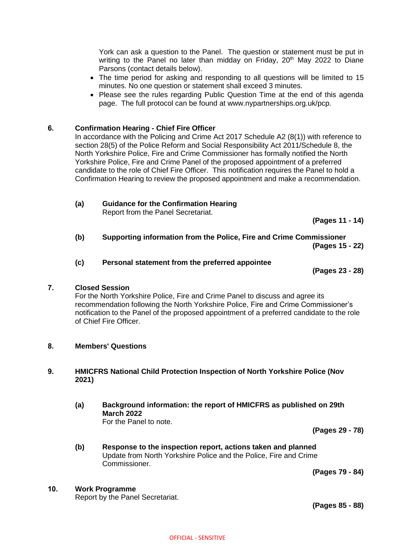York can ask a question to the Panel. The question or statement must be put in writing to the Panel no later than midday on Friday,  $20<sup>th</sup>$  May 2022 to Diane Parsons (contact details below).

- The time period for asking and responding to all questions will be limited to 15 minutes. No one question or statement shall exceed 3 minutes.
- Please see the rules regarding Public Question Time at the end of this agenda page. The full protocol can be found at www.nypartnerships.org.uk/pcp.

#### **6. Confirmation Hearing - Chief Fire Officer**

In accordance with the Policing and Crime Act 2017 Schedule A2 (8(1)) with reference to section 28(5) of the Police Reform and Social Responsibility Act 2011/Schedule 8, the North Yorkshire Police, Fire and Crime Commissioner has formally notified the North Yorkshire Police, Fire and Crime Panel of the proposed appointment of a preferred candidate to the role of Chief Fire Officer. This notification requires the Panel to hold a Confirmation Hearing to review the proposed appointment and make a recommendation.

- **(a) Guidance for the Confirmation Hearing** Report from the Panel Secretariat.
- **(b) Supporting information from the Police, Fire and Crime Commissioner (Pages 15 - 22)**

#### **(c) Personal statement from the preferred appointee**

**(Pages 23 - 28)**

**(Pages 11 - 14)**

#### **7. Closed Session**

For the North Yorkshire Police, Fire and Crime Panel to discuss and agree its recommendation following the North Yorkshire Police, Fire and Crime Commissioner's notification to the Panel of the proposed appointment of a preferred candidate to the role of Chief Fire Officer.

#### **8. Members' Questions**

#### **9. HMICFRS National Child Protection Inspection of North Yorkshire Police (Nov 2021)**

**(a) Background information: the report of HMICFRS as published on 29th March 2022** For the Panel to note.

**(Pages 29 - 78)**

**(b) Response to the inspection report, actions taken and planned** Update from North Yorkshire Police and the Police, Fire and Crime Commissioner.

**(Pages 79 - 84)**

#### **10. Work Programme**

Report by the Panel Secretariat.

**(Pages 85 - 88)**